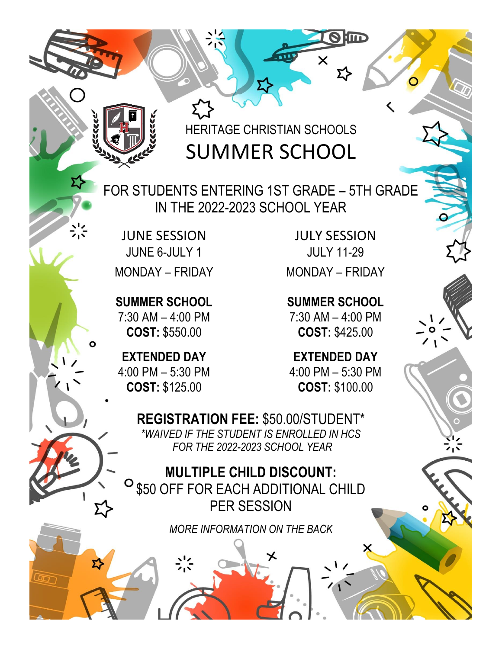HERITAGE CHRISTIAN SCHOOLS SUMMER SCHOOL

 FOR STUDENTS ENTERING 1ST GRADE – 5TH GRADE IN THE 2022-2023 SCHOOL YEAR

JUNE SESSION JUNE 6-JULY 1 MONDAY – FRIDAY

53

**SUMMER SCHOOL** 7:30 AM – 4:00 PM **COST:** \$550.00

**EXTENDED DAY** 4:00 PM – 5:30 PM **COST:** \$125.00

JULY SESSION JULY 11-29 MONDAY – FRIDAY

**O lind** 

**SUMMER SCHOOL** 7:30 AM – 4:00 PM **COST:** \$425.00

**EXTENDED DAY** 4:00 PM – 5:30 PM **COST:** \$100.00

**REGISTRATION FEE:** \$50.00/STUDENT\* *\*WAIVED IF THE STUDENT IS ENROLLED IN HCS FOR THE 2022-2023 SCHOOL YEAR*

**MULTIPLE CHILD DISCOUNT:**  \$50 OFF FOR EACH ADDITIONAL CHILD PER SESSION

*MORE INFORMATION ON THE BACK*